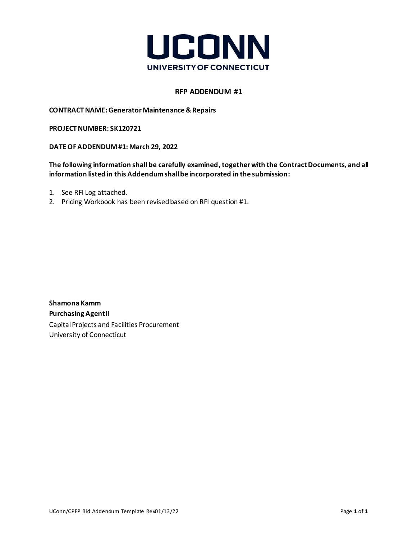

## **RFP ADDENDUM #1**

**CONTRACTNAME: Generator Maintenance & Repairs**

**PROJECT NUMBER: SK120721**

**DATE OF ADDENDUM#1: March 29, 2022**

The following information shall be carefully examined, together with the Contract Documents, and all **information listed in this Addendum shall be incorporated in the submission:**

- 1. See RFI Log attached.
- 2. Pricing Workbook has been revised based on RFI question #1.

**Shamona Kamm Purchasing Agent II** Capital Projects and Facilities Procurement University of Connecticut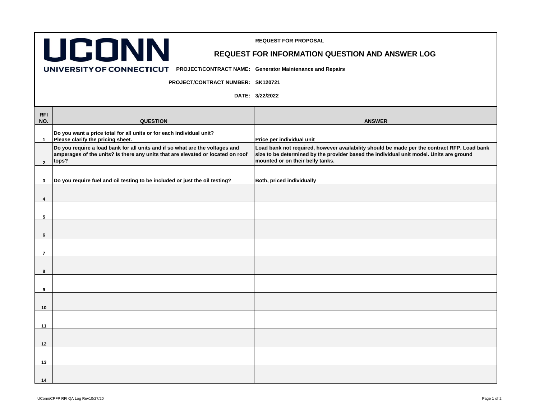

**REQUEST FOR PROPOSAL** 

**UNIVERSITY OF CONNECTICUT** PROJECT/CONTRACT NAME: Generator Maintenance and Repairs

**PROJECT/CONTRACT NUMBER: SK120721**

**DATE: 3/22/2022**

| <b>RFI</b><br>NO. | <b>QUESTION</b>                                                                                                                                                          | <b>ANSWER</b>                                                                                                                                                                                                              |
|-------------------|--------------------------------------------------------------------------------------------------------------------------------------------------------------------------|----------------------------------------------------------------------------------------------------------------------------------------------------------------------------------------------------------------------------|
| $\mathbf{1}$      | Do you want a price total for all units or for each individual unit?<br>Please clarify the pricing sheet.                                                                | Price per individual unit                                                                                                                                                                                                  |
| $\overline{2}$    | Do you require a load bank for all units and if so what are the voltages and<br>amperages of the units? Is there any units that are elevated or located on roof<br>tops? | Load bank not required, however availability should be made per the contract RFP. Load bank<br>size to be determined by the provider based the individual unit model. Units are ground<br>mounted or on their belly tanks. |
| $\mathbf{3}$      | Do you require fuel and oil testing to be included or just the oil testing?                                                                                              | Both, priced individually                                                                                                                                                                                                  |
| 4                 |                                                                                                                                                                          |                                                                                                                                                                                                                            |
| 5                 |                                                                                                                                                                          |                                                                                                                                                                                                                            |
| 6                 |                                                                                                                                                                          |                                                                                                                                                                                                                            |
| $\overline{7}$    |                                                                                                                                                                          |                                                                                                                                                                                                                            |
| 8                 |                                                                                                                                                                          |                                                                                                                                                                                                                            |
| 9                 |                                                                                                                                                                          |                                                                                                                                                                                                                            |
| 10                |                                                                                                                                                                          |                                                                                                                                                                                                                            |
| 11                |                                                                                                                                                                          |                                                                                                                                                                                                                            |
| 12                |                                                                                                                                                                          |                                                                                                                                                                                                                            |
| 13                |                                                                                                                                                                          |                                                                                                                                                                                                                            |
| 14                |                                                                                                                                                                          |                                                                                                                                                                                                                            |